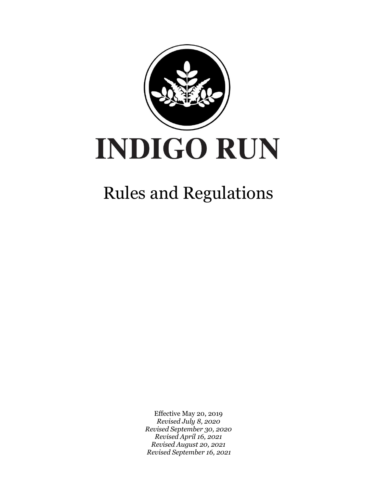

# Rules and Regulations

Effective May 20, 2019 *Revised July 8, 2020 Revised September 30, 2020 Revised April 16, 2021 Revised August 20, 2021 Revised September 16, 2021*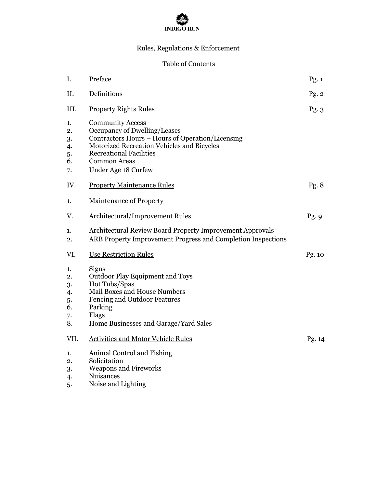

# Rules, Regulations & Enforcement

# Table of Contents

| I.                                           | Preface                                                                                                                                                                                                                                   | Pg.1           |
|----------------------------------------------|-------------------------------------------------------------------------------------------------------------------------------------------------------------------------------------------------------------------------------------------|----------------|
| II.                                          | Definitions                                                                                                                                                                                                                               | Pg. 2          |
| III.                                         | <b>Property Rights Rules</b>                                                                                                                                                                                                              | Pg.3           |
| 1.<br>2.<br>3.<br>4.<br>5.<br>6.<br>7.       | <b>Community Access</b><br>Occupancy of Dwelling/Leases<br>Contractors Hours – Hours of Operation/Licensing<br>Motorized Recreation Vehicles and Bicycles<br><b>Recreational Facilities</b><br><b>Common Areas</b><br>Under Age 18 Curfew |                |
| IV.                                          | <b>Property Maintenance Rules</b>                                                                                                                                                                                                         | Pg. $8$        |
| 1.                                           | <b>Maintenance of Property</b>                                                                                                                                                                                                            |                |
| V.                                           | <b>Architectural/Improvement Rules</b>                                                                                                                                                                                                    | Pg.9           |
| 1.<br>2.                                     | Architectural Review Board Property Improvement Approvals<br>ARB Property Improvement Progress and Completion Inspections                                                                                                                 |                |
| VI.                                          | <b>Use Restriction Rules</b>                                                                                                                                                                                                              | $\gamma$ g. 10 |
| 1.<br>2.<br>3.<br>4.<br>5.<br>6.<br>7.<br>8. | Signs<br><b>Outdoor Play Equipment and Toys</b><br>Hot Tubs/Spas<br>Mail Boxes and House Numbers<br>Fencing and Outdoor Features<br>Parking<br>Flags<br>Home Businesses and Garage/Yard Sales                                             |                |
| VII.                                         | <b>Activities and Motor Vehicle Rules</b>                                                                                                                                                                                                 | Pg. 14         |
| 1.<br>2.<br>3.<br>4.<br>5.                   | Animal Control and Fishing<br>Solicitation<br><b>Weapons and Fireworks</b><br><b>Nuisances</b><br>Noise and Lighting                                                                                                                      |                |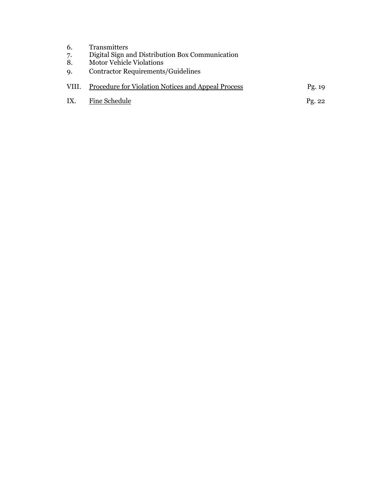| 6.<br>7.<br>8.<br>9. | <b>Transmitters</b><br>Digital Sign and Distribution Box Communication<br><b>Motor Vehicle Violations</b><br>Contractor Requirements/Guidelines |                 |
|----------------------|-------------------------------------------------------------------------------------------------------------------------------------------------|-----------------|
| VIII.                | Procedure for Violation Notices and Appeal Process                                                                                              | Pg. $19$        |
| IX.                  | Fine Schedule                                                                                                                                   | $\text{Pg. }22$ |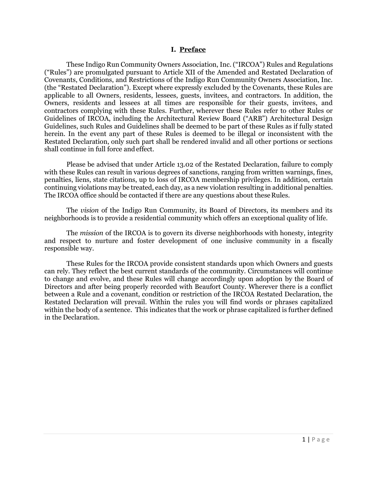#### **I. Preface**

These Indigo Run Community Owners Association, Inc. ("IRCOA") Rules and Regulations ("Rules") are promulgated pursuant to Article XII of the Amended and Restated Declaration of Covenants, Conditions, and Restrictions of the Indigo Run Community Owners Association, Inc. (the "Restated Declaration"). Except where expressly excluded by the Covenants, these Rules are applicable to all Owners, residents, lessees, guests, invitees, and contractors. In addition, the Owners, residents and lessees at all times are responsible for their guests, invitees, and contractors complying with these Rules. Further, wherever these Rules refer to other Rules or Guidelines of IRCOA, including the Architectural Review Board ("ARB") Architectural Design Guidelines, such Rules and Guidelines shall be deemed to be part of these Rules as if fully stated herein. In the event any part of these Rules is deemed to be illegal or inconsistent with the Restated Declaration, only such part shall be rendered invalid and all other portions or sections shall continue in full force andeffect.

Please be advised that under Article 13.02 of the Restated Declaration, failure to comply with these Rules can result in various degrees of sanctions, ranging from written warnings, fines, penalties, liens, state citations, up to loss of IRCOA membership privileges. In addition, certain continuing violations may be treated, each day, as a new violation resulting in additional penalties. The IRCOA office should be contacted if there are any questions about these Rules.

The *vision* of the Indigo Run Community, its Board of Directors, its members and its neighborhoods is to provide a residential community which offers an exceptional quality of life.

The *mission* of the IRCOA is to govern its diverse neighborhoods with honesty, integrity and respect to nurture and foster development of one inclusive community in a fiscally responsible way.

These Rules for the IRCOA provide consistent standards upon which Owners and guests can rely. They reflect the best current standards of the community. Circumstances will continue to change and evolve, and these Rules will change accordingly upon adoption by the Board of Directors and after being properly recorded with Beaufort County. Wherever there is a conflict between a Rule and a covenant, condition or restriction of the IRCOA Restated Declaration, the Restated Declaration will prevail. Within the rules you will find words or phrases capitalized within the body of a sentence. This indicates that the work or phrase capitalized is further defined in the Declaration.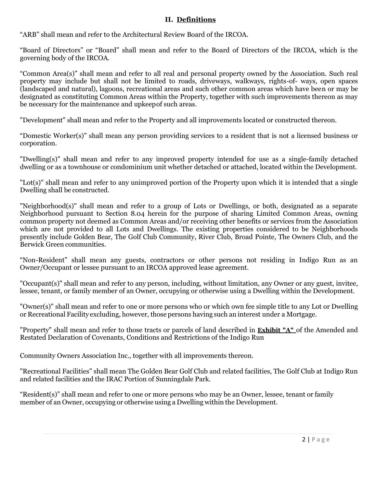#### **II. Definitions**

"ARB" shall mean and refer to the Architectural Review Board of the IRCOA.

"Board of Directors" or "Board" shall mean and refer to the Board of Directors of the IRCOA, which is the governing body of the IRCOA.

"Common Area(s)" shall mean and refer to all real and personal property owned by the Association. Such real property may include but shall not be limited to roads, driveways, walkways, rights-of- ways, open spaces (landscaped and natural), lagoons, recreational areas and such other common areas which have been or may be designated as constituting Common Areas within the Property, together with such improvements thereon as may be necessary for the maintenance and upkeepof such areas.

"Development" shall mean and refer to the Property and all improvements located or constructed thereon.

"Domestic Worker(s)" shall mean any person providing services to a resident that is not a licensed business or corporation.

"Dwelling(s)" shall mean and refer to any improved property intended for use as a single-family detached dwelling or as a townhouse or condominium unit whether detached or attached, located within the Development.

"Lot(s)" shall mean and refer to any unimproved portion of the Property upon which it is intended that a single Dwelling shall be constructed.

"Neighborhood(s)" shall mean and refer to a group of Lots or Dwellings, or both, designated as a separate Neighborhood pursuant to Section 8.04 herein for the purpose of sharing Limited Common Areas, owning common property not deemed as Common Areas and/or receiving other benefits or services from the Association which are not provided to all Lots and Dwellings. The existing properties considered to be Neighborhoods presently include Golden Bear, The Golf Club Community, River Club, Broad Pointe, The Owners Club, and the Berwick Green communities.

"Non-Resident" shall mean any guests, contractors or other persons not residing in Indigo Run as an Owner/Occupant or lessee pursuant to an IRCOA approved lease agreement.

"Occupant(s)" shall mean and refer to any person, including, without limitation, any Owner or any guest, invitee, lessee, tenant, or family member of an Owner, occupying or otherwise using a Dwelling within the Development.

"Owner(s)" shall mean and refer to one or more persons who or which own fee simple title to any Lot or Dwelling or Recreational Facility excluding, however, those persons having such an interest under a Mortgage.

"Property" shall mean and refer to those tracts or parcels of land described in **Exhibit "A"** of the Amended and Restated Declaration of Covenants, Conditions and Restrictions of the Indigo Run

Community Owners Association Inc., together with all improvements thereon.

"Recreational Facilities" shall mean The Golden Bear Golf Club and related facilities, The Golf Club at Indigo Run and related facilities and the IRAC Portion of Sunningdale Park.

"Resident(s)" shall mean and refer to one or more persons who may be an Owner, lessee, tenant or family member of an Owner, occupying or otherwise using a Dwelling within the Development.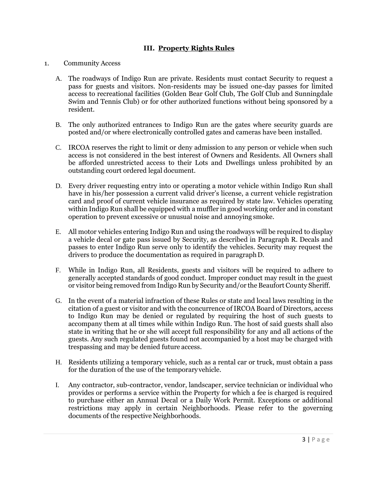## **III. Property Rights Rules**

#### 1. Community Access

- A. The roadways of Indigo Run are private. Residents must contact Security to request a pass for guests and visitors. Non-residents may be issued one-day passes for limited access to recreational facilities (Golden Bear Golf Club, The Golf Club and Sunningdale Swim and Tennis Club) or for other authorized functions without being sponsored by a resident.
- B. The only authorized entrances to Indigo Run are the gates where security guards are posted and/or where electronically controlled gates and cameras have been installed.
- C. IRCOA reserves the right to limit or deny admission to any person or vehicle when such access is not considered in the best interest of Owners and Residents. All Owners shall be afforded unrestricted access to their Lots and Dwellings unless prohibited by an outstanding court ordered legal document.
- D. Every driver requesting entry into or operating a motor vehicle within Indigo Run shall have in his/her possession a current valid driver's license, a current vehicle registration card and proof of current vehicle insurance as required by state law. Vehicles operating within Indigo Run shall be equipped with a muffler in good working order and in constant operation to prevent excessive or unusual noise and annoying smoke.
- E. All motor vehicles entering Indigo Run and using the roadways will be required to display a vehicle decal or gate pass issued by Security, as described in Paragraph R. Decals and passes to enter Indigo Run serve only to identify the vehicles. Security may request the drivers to produce the documentation as required in paragraphD.
- F. While in Indigo Run, all Residents, guests and visitors will be required to adhere to generally accepted standards of good conduct. Improper conduct may result in the guest or visitor being removed from Indigo Run by Security and/or the Beaufort County Sheriff.
- G. In the event of a material infraction of these Rules or state and local laws resulting in the citation of a guest or visitor and with the concurrence of IRCOA Board of Directors, access to Indigo Run may be denied or regulated by requiring the host of such guests to accompany them at all times while within Indigo Run. The host of said guests shall also state in writing that he or she will accept full responsibility for any and all actions of the guests. Any such regulated guests found not accompanied by a host may be charged with trespassing and may be denied future access.
- H. Residents utilizing a temporary vehicle, such as a rental car or truck, must obtain a pass for the duration of the use of the temporaryvehicle.
- I. Any contractor, sub-contractor, vendor, landscaper, service technician or individual who provides or performs a service within the Property for which a fee is charged is required to purchase either an Annual Decal or a Daily Work Permit. Exceptions or additional restrictions may apply in certain Neighborhoods. Please refer to the governing documents of the respective Neighborhoods.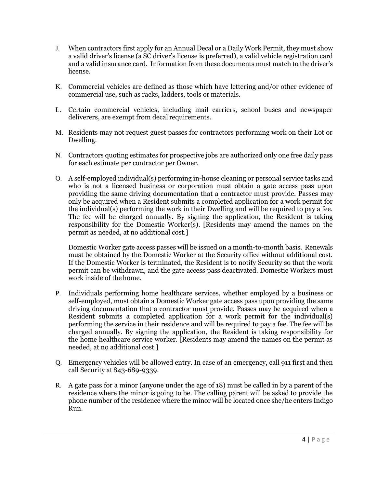- J. When contractors first apply for an Annual Decal or a Daily Work Permit, they must show a valid driver's license (a SC driver's license is preferred), a valid vehicle registration card and a valid insurance card. Information from these documents must match to the driver's license.
- K. Commercial vehicles are defined as those which have lettering and/or other evidence of commercial use, such as racks, ladders, tools or materials.
- L. Certain commercial vehicles, including mail carriers, school buses and newspaper deliverers, are exempt from decal requirements.
- M. Residents may not request guest passes for contractors performing work on their Lot or Dwelling.
- N. Contractors quoting estimates for prospective jobs are authorized only one free daily pass for each estimate per contractor per Owner.
- O. A self-employed individual(s) performing in-house cleaning or personal service tasks and who is not a licensed business or corporation must obtain a gate access pass upon providing the same driving documentation that a contractor must provide. Passes may only be acquired when a Resident submits a completed application for a work permit for the individual(s) performing the work in their Dwelling and will be required to pay a fee. The fee will be charged annually. By signing the application, the Resident is taking responsibility for the Domestic Worker(s). [Residents may amend the names on the permit as needed, at no additional cost.]

Domestic Worker gate access passes will be issued on a month-to-month basis. Renewals must be obtained by the Domestic Worker at the Security office without additional cost. If the Domestic Worker is terminated, the Resident is to notify Security so that the work permit can be withdrawn, and the gate access pass deactivated. Domestic Workers must work inside of the home.

- P. Individuals performing home healthcare services, whether employed by a business or self-employed, must obtain a Domestic Worker gate access pass upon providing the same driving documentation that a contractor must provide. Passes may be acquired when a Resident submits a completed application for a work permit for the individual(s) performing the service in their residence and will be required to pay a fee. The fee will be charged annually. By signing the application, the Resident is taking responsibility for the home healthcare service worker. [Residents may amend the names on the permit as needed, at no additional cost.]
- Q. Emergency vehicles will be allowed entry. In case of an emergency, call 911 first and then call Security at 843-689-9339.
- R. A gate pass for a minor (anyone under the age of 18) must be called in by a parent of the residence where the minor is going to be. The calling parent will be asked to provide the phone number of the residence where the minor will be located once she/he enters Indigo Run.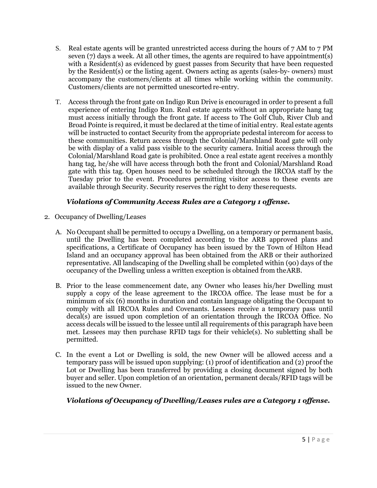- S. Real estate agents will be granted unrestricted access during the hours of 7 AM to 7 PM seven (7) days a week. At all other times, the agents are required to have appointment(s) with a Resident(s) as evidenced by guest passes from Security that have been requested by the Resident(s) or the listing agent. Owners acting as agents (sales-by- owners) must accompany the customers/clients at all times while working within the community. Customers/clients are not permitted unescorted re-entry.
- T. Access through the front gate on Indigo Run Drive is encouraged in order to present a full experience of entering Indigo Run. Real estate agents without an appropriate hang tag must access initially through the front gate. If access to The Golf Club, River Club and Broad Pointe is required, it must be declared at the time of initial entry. Real estate agents will be instructed to contact Security from the appropriate pedestal intercom for access to these communities. Return access through the Colonial/Marshland Road gate will only be with display of a valid pass visible to the security camera. Initial access through the Colonial/Marshland Road gate is prohibited. Once a real estate agent receives a monthly hang tag, he/she will have access through both the front and Colonial/Marshland Road gate with this tag. Open houses need to be scheduled through the IRCOA staff by the Tuesday prior to the event. Procedures permitting visitor access to these events are available through Security. Security reserves the right to deny theserequests.

## *Violations of Community Access Rules are a Category 1 offense.*

- 2. Occupancy of Dwelling/Leases
	- A. No Occupant shall be permitted to occupy a Dwelling, on a temporary or permanent basis, until the Dwelling has been completed according to the ARB approved plans and specifications, a Certificate of Occupancy has been issued by the Town of Hilton Head Island and an occupancy approval has been obtained from the ARB or their authorized representative. All landscaping of the Dwelling shall be completed within (90) days of the occupancy of the Dwelling unless a written exception is obtained from theARB.
	- B. Prior to the lease commencement date, any Owner who leases his/her Dwelling must supply a copy of the lease agreement to the IRCOA office. The lease must be for a minimum of six (6) months in duration and contain language obligating the Occupant to comply with all IRCOA Rules and Covenants. Lessees receive a temporary pass until decal(s) are issued upon completion of an orientation through the IRCOA Office. No access decals will be issued to the lessee until all requirements of this paragraph have been met. Lessees may then purchase RFID tags for their vehicle(s). No subletting shall be permitted.
	- C. In the event a Lot or Dwelling is sold, the new Owner will be allowed access and a temporary pass will be issued upon supplying: (1) proof of identification and (2) proof the Lot or Dwelling has been transferred by providing a closing document signed by both buyer and seller. Upon completion of an orientation, permanent decals/RFID tags will be issued to the new Owner.

# *Violations of Occupancy of Dwelling/Leases rules are a Category 1 offense.*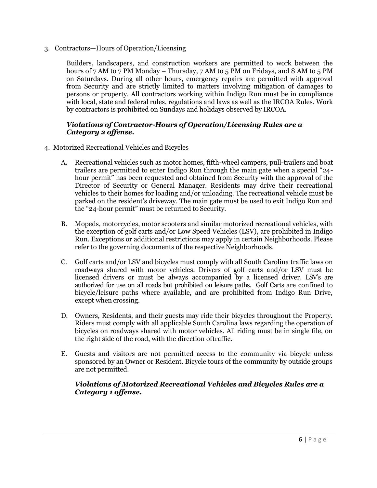3. Contractors—Hours of Operation/Licensing

Builders, landscapers, and construction workers are permitted to work between the hours of 7 AM to 7 PM Monday – Thursday, 7 AM to 5 PM on Fridays, and 8 AM to 5 PM on Saturdays. During all other hours, emergency repairs are permitted with approval from Security and are strictly limited to matters involving mitigation of damages to persons or property. All contractors working within Indigo Run must be in compliance with local, state and federal rules, regulations and laws as well as the IRCOA Rules. Work by contractors is prohibited on Sundays and holidays observed by IRCOA.

#### *Violations of Contractor-Hours of Operation/Licensing Rules are a Category 2 offense.*

- 4. Motorized Recreational Vehicles and Bicycles
	- A. Recreational vehicles such as motor homes, fifth-wheel campers, pull-trailers and boat trailers are permitted to enter Indigo Run through the main gate when a special "24 hour permit" has been requested and obtained from Security with the approval of the Director of Security or General Manager. Residents may drive their recreational vehicles to their homes for loading and/or unloading. The recreational vehicle must be parked on the resident's driveway. The main gate must be used to exit Indigo Run and the "24-hour permit" must be returned to Security.
	- B. Mopeds, motorcycles, motor scooters and similar motorized recreational vehicles, with the exception of golf carts and/or Low Speed Vehicles (LSV), are prohibited in Indigo Run. Exceptions or additional restrictions may apply in certain Neighborhoods. Please refer to the governing documents of the respective Neighborhoods.
	- C. Golf carts and/or LSV and bicycles must comply with all South Carolina traffic laws on roadways shared with motor vehicles. Drivers of golf carts and/or LSV must be licensed drivers or must be always accompanied by a licensed driver. LSV's are authorized for use on all roads but prohibited on leisure paths. Golf Carts are confined to bicycle/leisure paths where available, and are prohibited from Indigo Run Drive, except when crossing.
	- D. Owners, Residents, and their guests may ride their bicycles throughout the Property. Riders must comply with all applicable South Carolina laws regarding the operation of bicycles on roadways shared with motor vehicles. All riding must be in single file, on the right side of the road, with the direction oftraffic.
	- E. Guests and visitors are not permitted access to the community via bicycle unless sponsored by an Owner or Resident. Bicycle tours of the community by outside groups are not permitted.

#### *Violations of Motorized Recreational Vehicles and Bicycles Rules are a Category 1 offense.*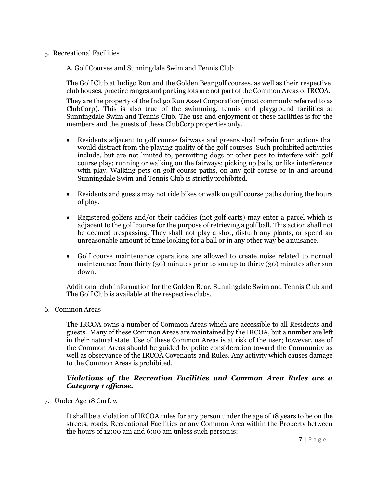#### 5. Recreational Facilities

A. Golf Courses and Sunningdale Swim and Tennis Club

The Golf Club at Indigo Run and the Golden Bear golf courses, as well as their respective club houses, practice ranges and parking lots are not part of the Common Areas ofIRCOA.

They are the property of the Indigo Run Asset Corporation (most commonly referred to as ClubCorp). This is also true of the swimming, tennis and playground facilities at Sunningdale Swim and Tennis Club. The use and enjoyment of these facilities is for the members and the guests of these ClubCorp properties only.

- Residents adjacent to golf course fairways and greens shall refrain from actions that would distract from the playing quality of the golf courses. Such prohibited activities include, but are not limited to, permitting dogs or other pets to interfere with golf course play; running or walking on the fairways; picking up balls, or like interference with play. Walking pets on golf course paths, on any golf course or in and around Sunningdale Swim and Tennis Club is strictly prohibited.
- Residents and guests may not ride bikes or walk on golf course paths during the hours of play.
- Registered golfers and/or their caddies (not golf carts) may enter a parcel which is adjacent to the golf course for the purpose of retrieving a golf ball. This action shall not be deemed trespassing. They shall not play a shot, disturb any plants, or spend an unreasonable amount of time looking for a ball or in any other way be anuisance.
- Golf course maintenance operations are allowed to create noise related to normal maintenance from thirty  $(30)$  minutes prior to sun up to thirty  $(30)$  minutes after sun down.

Additional club information for the Golden Bear, Sunningdale Swim and Tennis Club and The Golf Club is available at the respective clubs.

#### 6. Common Areas

The IRCOA owns a number of Common Areas which are accessible to all Residents and guests. Many of these Common Areas are maintained by the IRCOA, but a number are left in their natural state. Use of these Common Areas is at risk of the user; however, use of the Common Areas should be guided by polite consideration toward the Community as well as observance of the IRCOA Covenants and Rules. Any activity which causes damage to the Common Areas is prohibited.

#### *Violations of the Recreation Facilities and Common Area Rules are a Category 1 offense.*

7. Under Age 18 Curfew

It shall be a violation of IRCOA rules for any person under the age of 18 years to be on the streets, roads, Recreational Facilities or any Common Area within the Property between the hours of 12:00 am and 6:00 am unless such personis: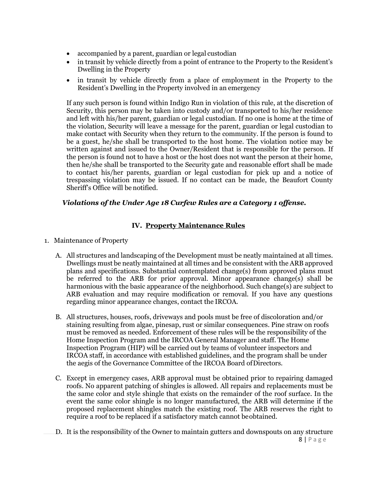- accompanied by a parent, guardian or legal custodian
- in transit by vehicle directly from a point of entrance to the Property to the Resident's Dwelling in the Property
- in transit by vehicle directly from a place of employment in the Property to the Resident's Dwelling in the Property involved in an emergency

If any such person is found within Indigo Run in violation of this rule, at the discretion of Security, this person may be taken into custody and/or transported to his/her residence and left with his/her parent, guardian or legal custodian. If no one is home at the time of the violation, Security will leave a message for the parent, guardian or legal custodian to make contact with Security when they return to the community. If the person is found to be a guest, he/she shall be transported to the host home. The violation notice may be written against and issued to the Owner/Resident that is responsible for the person. If the person is found not to have a host or the host does not want the person at their home, then he/she shall be transported to the Security gate and reasonable effort shall be made to contact his/her parents, guardian or legal custodian for pick up and a notice of trespassing violation may be issued. If no contact can be made, the Beaufort County Sheriff's Office will be notified.

#### *Violations of the Under Age 18 Curfew Rules are a Category 1 offense.*

#### **IV. Property Maintenance Rules**

- 1. Maintenance of Property
	- A. All structures and landscaping of the Development must be neatly maintained at all times. Dwellings must be neatly maintained at all times and be consistent with the ARB approved plans and specifications. Substantial contemplated change(s) from approved plans must be referred to the ARB for prior approval. Minor appearance change(s) shall be harmonious with the basic appearance of the neighborhood. Such change(s) are subject to ARB evaluation and may require modification or removal. If you have any questions regarding minor appearance changes, contact the IRCOA.
	- B. All structures, houses, roofs, driveways and pools must be free of discoloration and/or staining resulting from algae, pinesap, rust or similar consequences. Pine straw on roofs must be removed as needed. Enforcement of these rules will be the responsibility of the Home Inspection Program and the IRCOA General Manager and staff. The Home Inspection Program (HIP) will be carried out by teams of volunteer inspectors and IRCOA staff, in accordance with established guidelines, and the program shall be under the aegis of the Governance Committee of the IRCOA Board ofDirectors.
	- C. Except in emergency cases, ARB approval must be obtained prior to repairing damaged roofs. No apparent patching of shingles is allowed. All repairs and replacements must be the same color and style shingle that exists on the remainder of the roof surface. In the event the same color shingle is no longer manufactured, the ARB will determine if the proposed replacement shingles match the existing roof. The ARB reserves the right to require a roof to be replaced if a satisfactory match cannot beobtained.
	- 8 | P a g e D. It is the responsibility of the Owner to maintain gutters and downspouts on any structure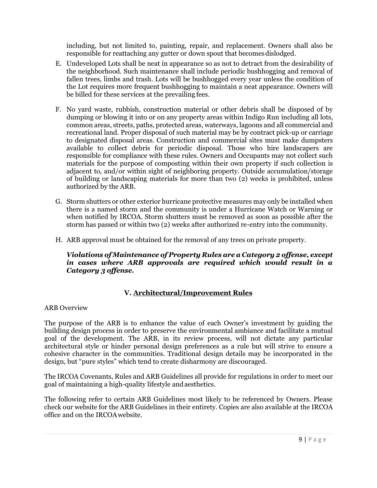including, but not limited to, painting, repair, and replacement. Owners shall also be responsible for reattaching any gutter or down spout that becomes dislodged.

- E. Undeveloped Lots shall be neat in appearance so as not to detract from the desirability of the neighborhood. Such maintenance shall include periodic bushhogging and removal of fallen trees, limbs and trash. Lots will be bushhogged every year unless the condition of the Lot requires more frequent bushhogging to maintain a neat appearance. Owners will be billed for these services at the prevailing fees.
- F. No yard waste, rubbish, construction material or other debris shall be disposed of by dumping or blowing it into or on any property areas within Indigo Run including all lots, common areas, streets, paths, protected areas, waterways, lagoons and all commercial and recreational land. Proper disposal of such material may be by contract pick-up or carriage to designated disposal areas. Construction and commercial sites must make dumpsters available to collect debris for periodic disposal. Those who hire landscapers are responsible for compliance with these rules. Owners and Occupants may not collect such materials for the purpose of composting within their own property if such collection is adjacent to, and/or within sight of neighboring property. Outside accumulation/storage of building or landscaping materials for more than two (2) weeks is prohibited, unless authorized by the ARB.
- G. Storm shutters or other exterior hurricane protective measures may only be installed when there is a named storm and the community is under a Hurricane Watch or Warning or when notified by IRCOA. Storm shutters must be removed as soon as possible after the storm has passed or within two (2) weeks after authorized re-entry into the community.
- H. ARB approval must be obtained for the removal of any trees on private property.

#### *Violations of Maintenance of Property Rules are a Category 2 offense, except in cases where ARB approvals are required which would result in a Category 3 offense.*

# **V. Architectural/Improvement Rules**

#### ARB Overview

The purpose of the ARB is to enhance the value of each Owner's investment by guiding the building design process in order to preserve the environmental ambiance and facilitate a mutual goal of the development. The ARB, in its review process, will not dictate any particular architectural style or hinder personal design preferences as a rule but will strive to ensure a cohesive character in the communities. Traditional design details may be incorporated in the design, but "pure styles" which tend to create disharmony are discouraged.

The IRCOA Covenants, Rules and ARB Guidelines all provide for regulations in order to meet our goal of maintaining a high-quality lifestyle andaesthetics.

The following refer to certain ARB Guidelines most likely to be referenced by Owners. Please check our website for the ARB Guidelines in their entirety. Copies are also available at the IRCOA office and on the IRCOAwebsite.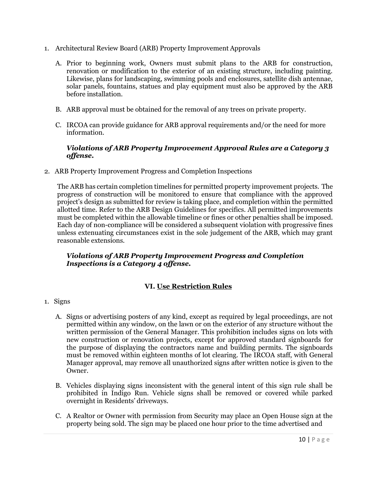- 1. Architectural Review Board (ARB) Property Improvement Approvals
	- A. Prior to beginning work, Owners must submit plans to the ARB for construction, renovation or modification to the exterior of an existing structure, including painting. Likewise, plans for landscaping, swimming pools and enclosures, satellite dish antennae, solar panels, fountains, statues and play equipment must also be approved by the ARB before installation.
	- B. ARB approval must be obtained for the removal of any trees on private property.
	- C. IRCOA can provide guidance for ARB approval requirements and/or the need for more information.

## *Violations of ARB Property Improvement Approval Rules are a Category 3 offense.*

2. ARB Property Improvement Progress and Completion Inspections

The ARB has certain completion timelines for permitted property improvement projects. The progress of construction will be monitored to ensure that compliance with the approved project's design as submitted for review is taking place, and completion within the permitted allotted time. Refer to the ARB Design Guidelines for specifics. All permitted improvements must be completed within the allowable timeline or fines or other penalties shall be imposed. Each day of non-compliance will be considered a subsequent violation with progressive fines unless extenuating circumstances exist in the sole judgement of the ARB, which may grant reasonable extensions.

#### *Violations of ARB Property Improvement Progress and Completion Inspections is a Category 4 offense.*

# **VI. Use Restriction Rules**

- 1. Signs
	- A. Signs or advertising posters of any kind, except as required by legal proceedings, are not permitted within any window, on the lawn or on the exterior of any structure without the written permission of the General Manager. This prohibition includes signs on lots with new construction or renovation projects, except for approved standard signboards for the purpose of displaying the contractors name and building permits. The signboards must be removed within eighteen months of lot clearing. The IRCOA staff, with General Manager approval, may remove all unauthorized signs after written notice is given to the Owner.
	- B. Vehicles displaying signs inconsistent with the general intent of this sign rule shall be prohibited in Indigo Run. Vehicle signs shall be removed or covered while parked overnight in Residents' driveways.
	- C. A Realtor or Owner with permission from Security may place an Open House sign at the property being sold. The sign may be placed one hour prior to the time advertised and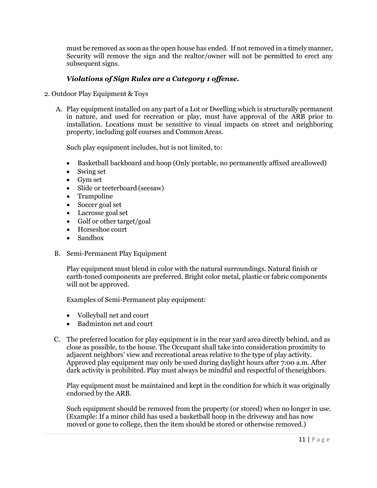must be removed as soon as the open house has ended. If not removed in a timely manner, Security will remove the sign and the realtor/owner will not be permitted to erect any subsequent signs.

### *Violations of Sign Rules are a Category 1 offense.*

- 2. Outdoor Play Equipment & Toys
	- A. Play equipment installed on any part of a Lot or Dwelling which is structurally permanent in nature, and used for recreation or play, must have approval of the ARB prior to installation. Locations must be sensitive to visual impacts on street and neighboring property, including golf courses and Common Areas.

Such play equipment includes, but is not limited, to:

- Basketball backboard and hoop (Only portable, no permanently affixed areallowed)
- Swing set
- Gym set
- Slide or teeterboard (seesaw)
- Trampoline
- Soccer goal set
- Lacrosse goal set
- Golf or other target/goal
- Horseshoe court
- Sandbox
- B. Semi-Permanent Play Equipment

Play equipment must blend in color with the natural surroundings. Natural finish or earth-toned components are preferred. Bright color metal, plastic or fabric components will not be approved.

Examples of Semi-Permanent play equipment:

- Volleyball net and court
- Badminton net and court
- C. The preferred location for play equipment is in the rear yard area directly behind, and as close as possible, to the house. The Occupant shall take into consideration proximity to adjacent neighbors' view and recreational areas relative to the type of play activity. Approved play equipment may only be used during daylight hours after 7:00 a.m. After dark activity is prohibited. Play must always be mindful and respectful of theneighbors.

Play equipment must be maintained and kept in the condition for which it was originally endorsed by the ARB.

Such equipment should be removed from the property (or stored) when no longer in use. (Example: If a minor child has used a basketball hoop in the driveway and has now moved or gone to college, then the item should be stored or otherwise removed.)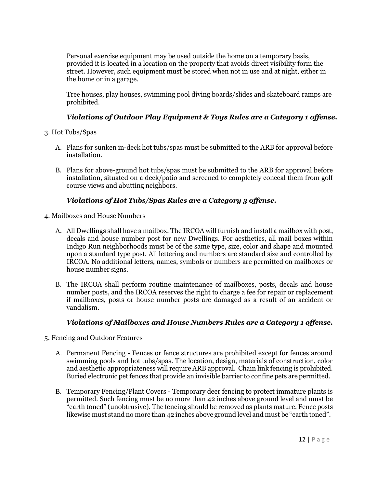Personal exercise equipment may be used outside the home on a temporary basis, provided it is located in a location on the property that avoids direct visibility form the street. However, such equipment must be stored when not in use and at night, either in the home or in a garage.

Tree houses, play houses, swimming pool diving boards/slides and skateboard ramps are prohibited.

## *Violations of Outdoor Play Equipment & Toys Rules are a Category 1 offense.*

- 3. Hot Tubs/Spas
	- A. Plans for sunken in-deck hot tubs/spas must be submitted to the ARB for approval before installation.
	- B. Plans for above-ground hot tubs/spas must be submitted to the ARB for approval before installation, situated on a deck/patio and screened to completely conceal them from golf course views and abutting neighbors.

## *Violations of Hot Tubs/Spas Rules are a Category 3 offense.*

- 4. Mailboxes and House Numbers
	- A. All Dwellings shall have a mailbox. The IRCOA will furnish and install a mailbox with post, decals and house number post for new Dwellings. For aesthetics, all mail boxes within Indigo Run neighborhoods must be of the same type, size, color and shape and mounted upon a standard type post. All lettering and numbers are standard size and controlled by IRCOA. No additional letters, names, symbols or numbers are permitted on mailboxes or house number signs.
	- B. The IRCOA shall perform routine maintenance of mailboxes, posts, decals and house number posts, and the IRCOA reserves the right to charge a fee for repair or replacement if mailboxes, posts or house number posts are damaged as a result of an accident or vandalism.

## *Violations of Mailboxes and House Numbers Rules are a Category 1 offense.*

- 5. Fencing and Outdoor Features
	- A. Permanent Fencing Fences or fence structures are prohibited except for fences around swimming pools and hot tubs/spas. The location, design, materials of construction, color and aesthetic appropriateness will require ARB approval. Chain link fencing is prohibited. Buried electronic pet fences that provide an invisible barrier to confine pets are permitted.
	- B. Temporary Fencing/Plant Covers Temporary deer fencing to protect immature plants is permitted. Such fencing must be no more than 42 inches above ground level and must be "earth toned" (unobtrusive). The fencing should be removed as plants mature. Fence posts likewise must stand no more than 42 inches above ground level and must be "earth toned".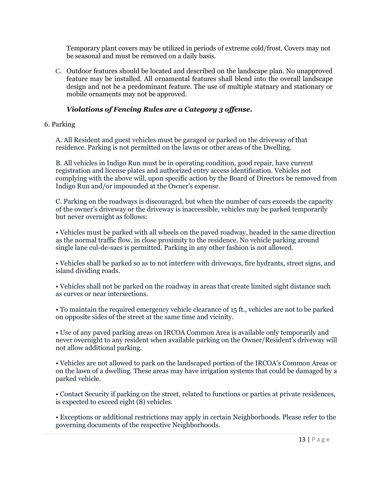Temporary plant covers may be utilized in periods of extreme cold/frost. Covers may not be seasonal and must be removed on a daily basis.

C. Outdoor features should be located and described on the landscape plan. No unapproved feature may be installed. All ornamental features shall blend into the overall landscape design and not be a predominant feature. The use of multiple statuary and stationary or mobile ornaments may not be approved.

## *Violations of Fencing Rules are a Category 3 offense.*

6. Parking

A. All Resident and guest vehicles must be garaged or parked on the driveway of that residence. Parking is not permitted on the lawns or other areas of the Dwelling.

B. All vehicles in Indigo Run must be in operating condition, good repair, have current registration and license plates and authorized entry access identification. Vehicles not complying with the above will, upon specific action by the Board of Directors be removed from Indigo Run and/or impounded at the Owner's expense.

C. Parking on the roadways is discouraged, but when the number of cars exceeds the capacity of the owner's driveway or the driveway is inaccessible, vehicles may be parked temporarily but never overnight as follows:

• Vehicles must be parked with all wheels on the paved roadway, headed in the same direction as the normal traffic flow, in close proximity to the residence. No vehicle parking around single lane cul-de-sacs is permitted. Parking in any other fashion is not allowed.

• Vehicles shall be parked so as to not interfere with driveways, fire hydrants, street signs, and island dividing roads.

• Vehicles shall not be parked on the roadway in areas that create limited sight distance such as curves or near intersections.

• To maintain the required emergency vehicle clearance of 15 ft., vehicles are not to be parked on opposite sides of the street at the same time and vicinity.

• Use of any paved parking areas on IRCOA Common Area is available only temporarily and never overnight to any resident when available parking on the Owner/Resident's driveway will not allow additional parking.

• Vehicles are not allowed to park on the landscaped portion of the IRCOA's Common Areas or on the lawn of a dwelling. These areas may have irrigation systems that could be damaged by a parked vehicle.

• Contact Security if parking on the street, related to functions or parties at private residences, is expected to exceed eight (8) vehicles.

• Exceptions or additional restrictions may apply in certain Neighborhoods. Please refer to the governing documents of the respective Neighborhoods.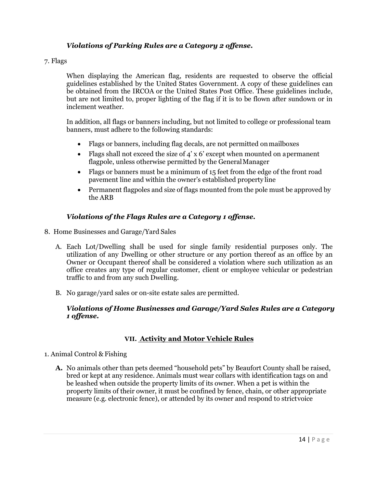## *Violations of Parking Rules are a Category 2 offense.*

#### 7. Flags

When displaying the American flag, residents are requested to observe the official guidelines established by the United States Government. A copy of these guidelines can be obtained from the IRCOA or the United States Post Office. These guidelines include, but are not limited to, proper lighting of the flag if it is to be flown after sundown or in inclement weather.

In addition, all flags or banners including, but not limited to college or professional team banners, must adhere to the following standards:

- Flags or banners, including flag decals, are not permitted on mailboxes
- Flags shall not exceed the size of  $4' \times 6'$  except when mounted on apermanent flagpole, unless otherwise permitted by the General Manager
- Flags or banners must be a minimum of 15 feet from the edge of the front road pavement line and within the owner's established property line
- Permanent flagpoles and size of flags mounted from the pole must be approved by the ARB

#### *Violations of the Flags Rules are a Category 1 offense.*

- 8. Home Businesses and Garage/Yard Sales
	- A. Each Lot/Dwelling shall be used for single family residential purposes only. The utilization of any Dwelling or other structure or any portion thereof as an office by an Owner or Occupant thereof shall be considered a violation where such utilization as an office creates any type of regular customer, client or employee vehicular or pedestrian traffic to and from any such Dwelling.
	- B. No garage/yard sales or on-site estate sales are permitted.

#### *Violations of Home Businesses and Garage/Yard Sales Rules are a Category 1 offense.*

## **VII. Activity and Motor Vehicle Rules**

#### 1. Animal Control & Fishing

**A.** No animals other than pets deemed "household pets" by Beaufort County shall be raised, bred or kept at any residence. Animals must wear collars with identification tags on and be leashed when outside the property limits of its owner. When a pet is within the property limits of their owner, it must be confined by fence, chain, or other appropriate measure (e.g. electronic fence), or attended by its owner and respond to strictvoice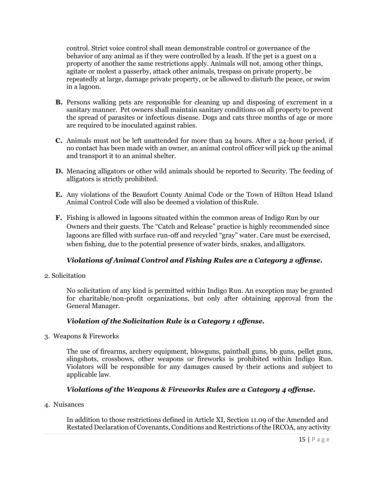control. Strict voice control shall mean demonstrable control or governance of the behavior of any animal as if they were controlled by a leash. If the pet is a guest on a property of another the same restrictions apply. Animals will not, among other things, agitate or molest a passerby, attack other animals, trespass on private property, be repeatedly at large, damage private property, or be allowed to disturb the peace, or swim in a lagoon.

- **B.** Persons walking pets are responsible for cleaning up and disposing of excrement in a sanitary manner. Pet owners shall maintain sanitary conditions on all property to prevent the spread of parasites or infectious disease. Dogs and cats three months of age or more are required to be inoculated against rabies.
- **C.** Animals must not be left unattended for more than 24 hours. After a 24-hour period, if no contact has been made with an owner, an animal control officer will pick up the animal and transport it to an animal shelter.
- **D.** Menacing alligators or other wild animals should be reported to Security. The feeding of alligators is strictly prohibited.
- **E.** Any violations of the Beaufort County Animal Code or the Town of Hilton Head Island Animal Control Code will also be deemed a violation of thisRule.
- **F.** Fishing is allowed in lagoons situated within the common areas of Indigo Run by our Owners and their guests. The "Catch and Release" practice is highly recommended since lagoons are filled with surface run-off and recycled "gray" water. Care must be exercised, when fishing, due to the potential presence of water birds, snakes, and alligators.

# *Violations of Animal Control and Fishing Rules are a Category 2 offense.*

2. Solicitation

No solicitation of any kind is permitted within Indigo Run. An exception may be granted for charitable/non-profit organizations, but only after obtaining approval from the General Manager.

## *Violation of the Solicitation Rule is a Category 1 offense.*

3. Weapons & Fireworks

The use of firearms, archery equipment, blowguns, paintball guns, bb guns, pellet guns, slingshots, crossbows, other weapons or fireworks is prohibited within Indigo Run. Violators will be responsible for any damages caused by their actions and subject to applicable law.

## *Violations of the Weapons & Fireworks Rules are a Category 4 offense.*

4. Nuisances

In addition to those restrictions defined in Article XI, Section 11.09 of the Amended and Restated Declaration of Covenants, Conditions and Restrictions ofthe IRCOA, any activity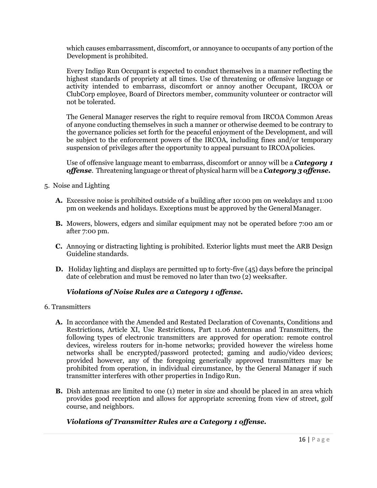which causes embarrassment, discomfort, or annoyance to occupants of any portion of the Development is prohibited.

Every Indigo Run Occupant is expected to conduct themselves in a manner reflecting the highest standards of propriety at all times. Use of threatening or offensive language or activity intended to embarrass, discomfort or annoy another Occupant, IRCOA or ClubCorp employee, Board of Directors member, community volunteer or contractor will not be tolerated.

The General Manager reserves the right to require removal from IRCOA Common Areas of anyone conducting themselves in such a manner or otherwise deemed to be contrary to the governance policies set forth for the peaceful enjoyment of the Development, and will be subject to the enforcement powers of the IRCOA, including fines and/or temporary suspension of privileges after the opportunity to appeal pursuant to IRCOApolicies.

Use of offensive language meant to embarrass, discomfort or annoy will be a *Category 1 offense.* Threatening language or threat of physical harm will be a *Category 3 offense.*

- 5. Noise and Lighting
	- **A.** Excessive noise is prohibited outside of a building after 10:00 pm on weekdays and 11:00 pm on weekends and holidays. Exceptions must be approved by the GeneralManager.
	- **B.** Mowers, blowers, edgers and similar equipment may not be operated before 7:00 am or after 7:00 pm.
	- **C.** Annoying or distracting lighting is prohibited. Exterior lights must meet the ARB Design Guideline standards.
	- **D.** Holiday lighting and displays are permitted up to forty-five (45) days before the principal date of celebration and must be removed no later than two (2) weeksafter.

## *Violations of Noise Rules are a Category 1 offense.*

- 6. Transmitters
	- **A.** In accordance with the Amended and Restated Declaration of Covenants, Conditions and Restrictions, Article XI, Use Restrictions, Part 11.06 Antennas and Transmitters, the following types of electronic transmitters are approved for operation: remote control devices, wireless routers for in-home networks; provided however the wireless home networks shall be encrypted/password protected; gaming and audio/video devices; provided however, any of the foregoing generically approved transmitters may be prohibited from operation, in individual circumstance, by the General Manager if such transmitter interferes with other properties in Indigo Run.
	- **B.** Dish antennas are limited to one (1) meter in size and should be placed in an area which provides good reception and allows for appropriate screening from view of street, golf course, and neighbors.

## *Violations of Transmitter Rules are a Category 1 offense.*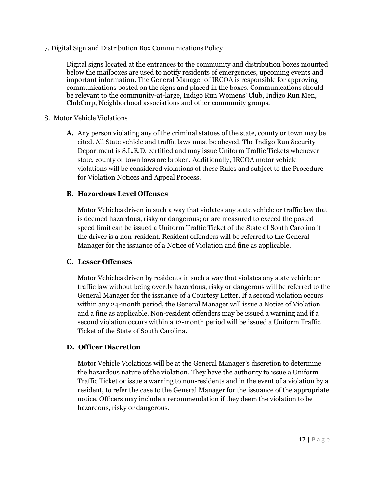7. Digital Sign and Distribution Box Communications Policy

Digital signs located at the entrances to the community and distribution boxes mounted below the mailboxes are used to notify residents of emergencies, upcoming events and important information. The General Manager of IRCOA is responsible for approving communications posted on the signs and placed in the boxes. Communications should be relevant to the community-at-large, Indigo Run Womens' Club, Indigo Run Men, ClubCorp, Neighborhood associations and other community groups.

- 8. Motor Vehicle Violations
	- **A.** Any person violating any of the criminal statues of the state, county or town may be cited. All State vehicle and traffic laws must be obeyed. The Indigo Run Security Department is S.L.E.D. certified and may issue Uniform Traffic Tickets whenever state, county or town laws are broken. Additionally, IRCOA motor vehicle violations will be considered violations of these Rules and subject to the Procedure for Violation Notices and Appeal Process.

## **B. Hazardous Level Offenses**

Motor Vehicles driven in such a way that violates any state vehicle or traffic law that is deemed hazardous, risky or dangerous; or are measured to exceed the posted speed limit can be issued a Uniform Traffic Ticket of the State of South Carolina if the driver is a non-resident. Resident offenders will be referred to the General Manager for the issuance of a Notice of Violation and fine as applicable.

#### **C. Lesser Offenses**

Motor Vehicles driven by residents in such a way that violates any state vehicle or traffic law without being overtly hazardous, risky or dangerous will be referred to the General Manager for the issuance of a Courtesy Letter. If a second violation occurs within any 24-month period, the General Manager will issue a Notice of Violation and a fine as applicable. Non-resident offenders may be issued a warning and if a second violation occurs within a 12-month period will be issued a Uniform Traffic Ticket of the State of South Carolina.

## **D. Officer Discretion**

Motor Vehicle Violations will be at the General Manager's discretion to determine the hazardous nature of the violation. They have the authority to issue a Uniform Traffic Ticket or issue a warning to non-residents and in the event of a violation by a resident, to refer the case to the General Manager for the issuance of the appropriate notice. Officers may include a recommendation if they deem the violation to be hazardous, risky or dangerous.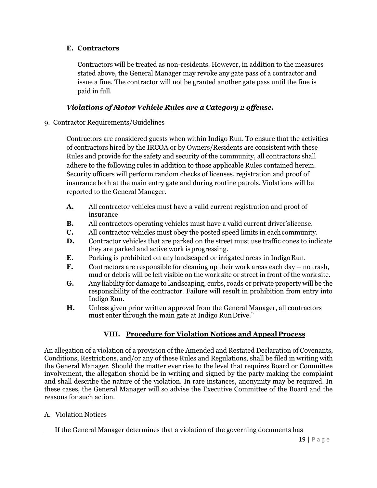#### **E. Contractors**

Contractors will be treated as non-residents. However, in addition to the measures stated above, the General Manager may revoke any gate pass of a contractor and issue a fine. The contractor will not be granted another gate pass until the fine is paid in full.

## *Violations of Motor Vehicle Rules are a Category 2 offense.*

9. Contractor Requirements/Guidelines

Contractors are considered guests when within Indigo Run. To ensure that the activities of contractors hired by the IRCOA or by Owners/Residents are consistent with these Rules and provide for the safety and security of the community, all contractors shall adhere to the following rules in addition to those applicable Rules contained herein. Security officers will perform random checks of licenses, registration and proof of insurance both at the main entry gate and during routine patrols. Violations will be reported to the General Manager.

- **A.** All contractor vehicles must have a valid current registration and proof of insurance
- **B.** All contractors operating vehicles must have a valid current driver'slicense.
- **C.** All contractor vehicles must obey the posted speed limits in each community.
- **D.** Contractor vehicles that are parked on the street must use traffic cones to indicate they are parked and active work isprogressing.
- **E.** Parking is prohibited on any landscaped or irrigated areas in Indigo Run.
- **F.** Contractors are responsible for cleaning up their work areas each day no trash, mud or debris will be left visible on the work site or street in front of the work site.
- **G.** Any liability for damage to landscaping, curbs, roads or private property will be the responsibility of the contractor. Failure will result in prohibition from entry into Indigo Run.
- **H.** Unless given prior written approval from the General Manager, all contractors must enter through the main gate at Indigo RunDrive."

# **VIII. Procedure for Violation Notices and Appeal Process**

An allegation of a violation of a provision of the Amended and Restated Declaration of Covenants, Conditions, Restrictions, and/or any of these Rules and Regulations, shall be filed in writing with the General Manager. Should the matter ever rise to the level that requires Board or Committee involvement, the allegation should be in writing and signed by the party making the complaint and shall describe the nature of the violation. In rare instances, anonymity may be required. In these cases, the General Manager will so advise the Executive Committee of the Board and the reasons for such action.

A. Violation Notices

If the General Manager determines that a violation of the governing documents has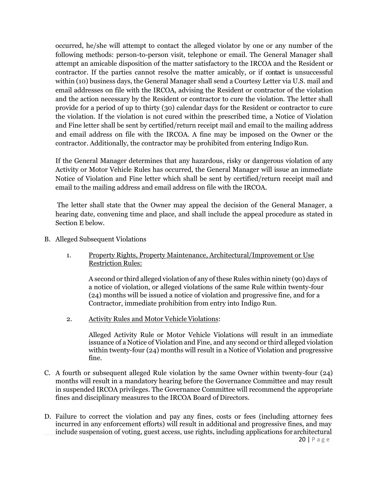occurred, he/she will attempt to contact the alleged violator by one or any number of the following methods: person-to-person visit, telephone or email. The General Manager shall attempt an amicable disposition of the matter satisfactory to the IRCOA and the Resident or contractor. If the parties cannot resolve the matter amicably, or if contact is unsuccessful within (10) business days, the General Manager shall send a Courtesy Letter via U.S. mail and email addresses on file with the IRCOA, advising the Resident or contractor of the violation and the action necessary by the Resident or contractor to cure the violation. The letter shall provide for a period of up to thirty (30) calendar days for the Resident or contractor to cure the violation. If the violation is not cured within the prescribed time, a Notice of Violation and Fine letter shall be sent by certified/return receipt mail and email to the mailing address and email address on file with the IRCOA. A fine may be imposed on the Owner or the contractor. Additionally, the contractor may be prohibited from entering Indigo Run.

If the General Manager determines that any hazardous, risky or dangerous violation of any Activity or Motor Vehicle Rules has occurred, the General Manager will issue an immediate Notice of Violation and Fine letter which shall be sent by certified/return receipt mail and email to the mailing address and email address on file with the IRCOA.

The letter shall state that the Owner may appeal the decision of the General Manager, a hearing date, convening time and place, and shall include the appeal procedure as stated in Section E below.

- B. Alleged Subsequent Violations
	- 1. Property Rights, Property Maintenance, Architectural/Improvement or Use Restriction Rules:

A second or third alleged violation of any of these Rules within ninety (90) days of a notice of violation, or alleged violations of the same Rule within twenty-four (24) months will be issued a notice of violation and progressive fine, and for a Contractor, immediate prohibition from entry into Indigo Run.

2. Activity Rules and Motor Vehicle Violations:

Alleged Activity Rule or Motor Vehicle Violations will result in an immediate issuance of a Notice of Violation and Fine, and any second or third alleged violation within twenty-four (24) months will result in a Notice of Violation and progressive fine.

- C. A fourth or subsequent alleged Rule violation by the same Owner within twenty-four (24) months will result in a mandatory hearing before the Governance Committee and may result in suspended IRCOA privileges. The Governance Committee will recommend the appropriate fines and disciplinary measures to the IRCOA Board of Directors.
- D. Failure to correct the violation and pay any fines, costs or fees (including attorney fees incurred in any enforcement efforts) will result in additional and progressive fines, and may include suspension of voting, guest access, use rights, including applications for architectural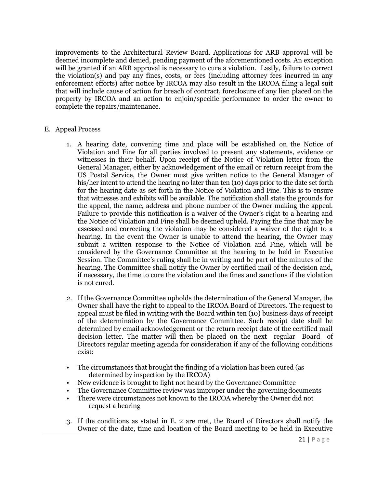improvements to the Architectural Review Board. Applications for ARB approval will be deemed incomplete and denied, pending payment of the aforementioned costs. An exception will be granted if an ARB approval is necessary to cure a violation. Lastly, failure to correct the violation(s) and pay any fines, costs, or fees (including attorney fees incurred in any enforcement efforts) after notice by IRCOA may also result in the IRCOA filing a legal suit that will include cause of action for breach of contract, foreclosure of any lien placed on the property by IRCOA and an action to enjoin/specific performance to order the owner to complete the repairs/maintenance.

#### E. Appeal Process

- 1. A hearing date, convening time and place will be established on the Notice of Violation and Fine for all parties involved to present any statements, evidence or witnesses in their behalf. Upon receipt of the Notice of Violation letter from the General Manager, either by acknowledgement of the email or return receipt from the US Postal Service, the Owner must give written notice to the General Manager of his/her intent to attend the hearing no later than ten (10) days prior to the date set forth for the hearing date as set forth in the Notice of Violation and Fine. This is to ensure that witnesses and exhibits will be available. The notification shall state the grounds for the appeal, the name, address and phone number of the Owner making the appeal. Failure to provide this notification is a waiver of the Owner's right to a hearing and the Notice of Violation and Fine shall be deemed upheld. Paying the fine that may be assessed and correcting the violation may be considered a waiver of the right to a hearing. In the event the Owner is unable to attend the hearing, the Owner may submit a written response to the Notice of Violation and Fine, which will be considered by the Governance Committee at the hearing to be held in Executive Session. The Committee's ruling shall be in writing and be part of the minutes of the hearing. The Committee shall notify the Owner by certified mail of the decision and, if necessary, the time to cure the violation and the fines and sanctions if the violation is not cured.
- 2. If the Governance Committee upholds the determination of the General Manager, the Owner shall have the right to appeal to the IRCOA Board of Directors. The request to appeal must be filed in writing with the Board within ten (10) business days of receipt of the determination by the Governance Committee. Such receipt date shall be determined by email acknowledgement or the return receipt date of the certified mail decision letter. The matter will then be placed on the next regular Board of Directors regular meeting agenda for consideration if any of the following conditions exist:
- The circumstances that brought the finding of a violation has been cured (as determined by inspection by the IRCOA)
- New evidence is brought to light not heard by the Governance Committee
- The Governance Committee review was improper under the governing documents
- There were circumstances not known to the IRCOA whereby the Owner did not request a hearing
- 3. If the conditions as stated in E. 2 are met, the Board of Directors shall notify the Owner of the date, time and location of the Board meeting to be held in Executive